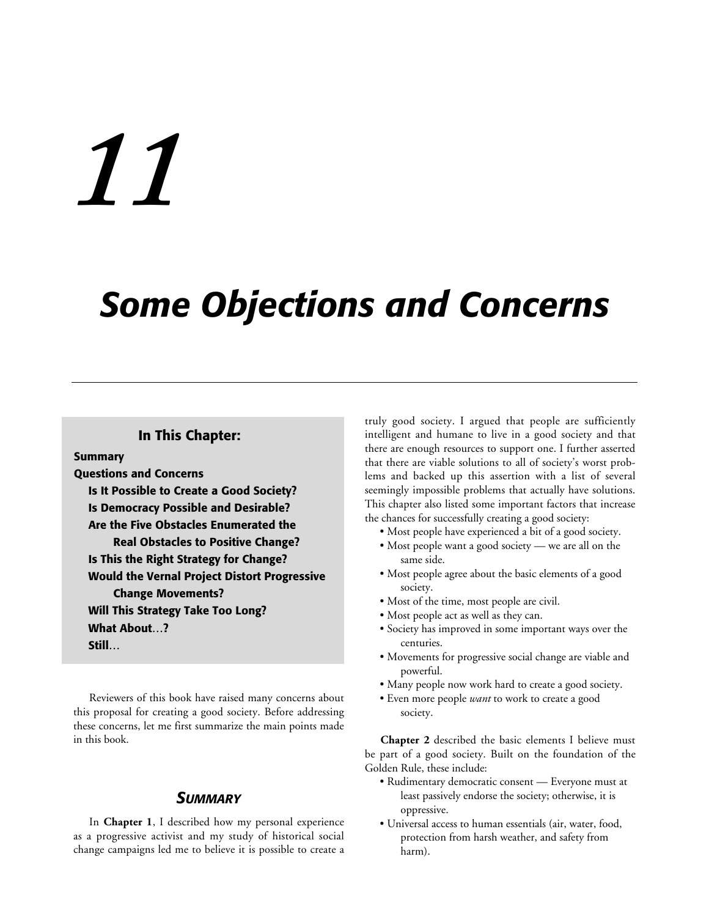# *11*

**Summary**

# *Some Objections and Concerns*

# **In This Chapter:**

**Questions and Concerns Is It Possible to Create a Good Society? Is Democracy Possible and Desirable? Are the Five Obstacles Enumerated the Real Obstacles to Positive Change? Is This the Right Strategy for Change? Would the Vernal Project Distort Progressive Change Movements? Will This Strategy Take Too Long? What About…? Still…**

Reviewers of this book have raised many concerns about this proposal for creating a good society. Before addressing these concerns, let me first summarize the main points made in this book.

# *SUMMARY*

In **Chapter 1**, I described how my personal experience as a progressive activist and my study of historical social change campaigns led me to believe it is possible to create a truly good society. I argued that people are sufficiently intelligent and humane to live in a good society and that there are enough resources to support one. I further asserted that there are viable solutions to all of society's worst problems and backed up this assertion with a list of several seemingly impossible problems that actually have solutions. This chapter also listed some important factors that increase the chances for successfully creating a good society:

- Most people have experienced a bit of a good society.
- Most people want a good society we are all on the same side.
- Most people agree about the basic elements of a good society.
- Most of the time, most people are civil.
- Most people act as well as they can.
- Society has improved in some important ways over the centuries.
- Movements for progressive social change are viable and powerful.
- Many people now work hard to create a good society.
- Even more people *want* to work to create a good society.

**Chapter 2** described the basic elements I believe must be part of a good society. Built on the foundation of the Golden Rule, these include:

- Rudimentary democratic consent Everyone must at least passively endorse the society; otherwise, it is oppressive.
- Universal access to human essentials (air, water, food, protection from harsh weather, and safety from harm).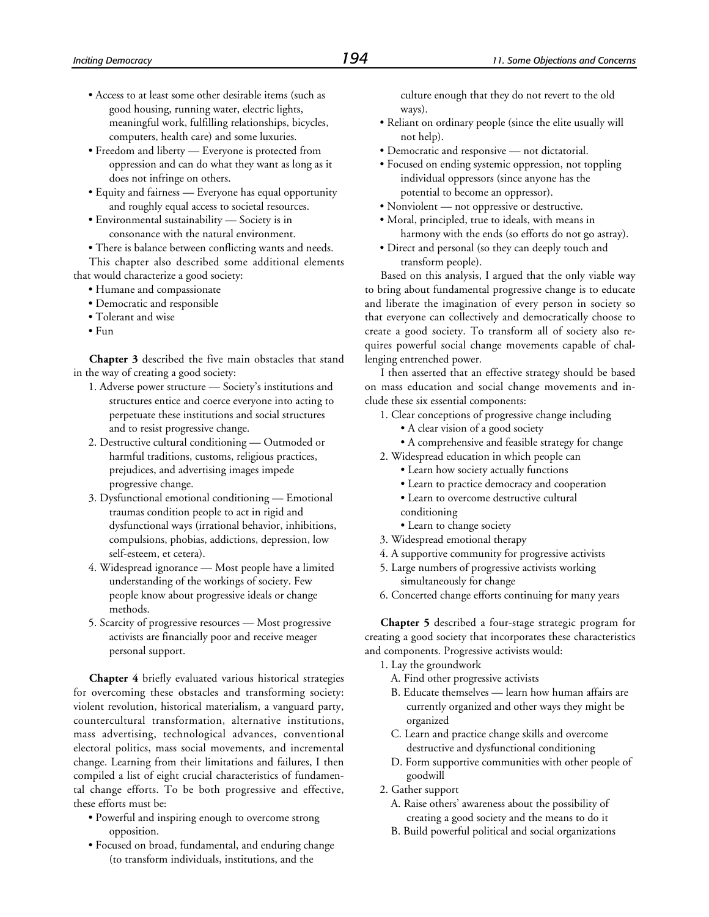- Access to at least some other desirable items (such as good housing, running water, electric lights, meaningful work, fulfilling relationships, bicycles, computers, health care) and some luxuries.
- Freedom and liberty Everyone is protected from oppression and can do what they want as long as it does not infringe on others.
- Equity and fairness Everyone has equal opportunity and roughly equal access to societal resources.
- Environmental sustainability Society is in consonance with the natural environment.
- There is balance between conflicting wants and needs.

This chapter also described some additional elements that would characterize a good society:

- Humane and compassionate
- Democratic and responsible
- Tolerant and wise
- $\bullet$  F<sub>11</sub>n

**Chapter 3** described the five main obstacles that stand in the way of creating a good society:

- 1. Adverse power structure Society's institutions and structures entice and coerce everyone into acting to perpetuate these institutions and social structures and to resist progressive change.
- 2. Destructive cultural conditioning Outmoded or harmful traditions, customs, religious practices, prejudices, and advertising images impede progressive change.
- 3. Dysfunctional emotional conditioning Emotional traumas condition people to act in rigid and dysfunctional ways (irrational behavior, inhibitions, compulsions, phobias, addictions, depression, low self-esteem, et cetera).
- 4. Widespread ignorance Most people have a limited understanding of the workings of society. Few people know about progressive ideals or change methods.
- 5. Scarcity of progressive resources Most progressive activists are financially poor and receive meager personal support.

**Chapter 4** briefly evaluated various historical strategies for overcoming these obstacles and transforming society: violent revolution, historical materialism, a vanguard party, countercultural transformation, alternative institutions, mass advertising, technological advances, conventional electoral politics, mass social movements, and incremental change. Learning from their limitations and failures, I then compiled a list of eight crucial characteristics of fundamental change efforts. To be both progressive and effective, these efforts must be:

- Powerful and inspiring enough to overcome strong opposition.
- Focused on broad, fundamental, and enduring change (to transform individuals, institutions, and the

culture enough that they do not revert to the old ways).

- Reliant on ordinary people (since the elite usually will not help).
- Democratic and responsive not dictatorial.
- Focused on ending systemic oppression, not toppling individual oppressors (since anyone has the potential to become an oppressor).
- Nonviolent not oppressive or destructive.
- Moral, principled, true to ideals, with means in harmony with the ends (so efforts do not go astray).
- Direct and personal (so they can deeply touch and transform people).

Based on this analysis, I argued that the only viable way to bring about fundamental progressive change is to educate and liberate the imagination of every person in society so that everyone can collectively and democratically choose to create a good society. To transform all of society also requires powerful social change movements capable of challenging entrenched power.

I then asserted that an effective strategy should be based on mass education and social change movements and include these six essential components:

- 1. Clear conceptions of progressive change including
	- A clear vision of a good society
	- A comprehensive and feasible strategy for change
- 2. Widespread education in which people can
	- Learn how society actually functions
	- Learn to practice democracy and cooperation
	- Learn to overcome destructive cultural
	- conditioning
	- Learn to change society
- 3. Widespread emotional therapy
- 4. A supportive community for progressive activists
- 5. Large numbers of progressive activists working simultaneously for change
- 6. Concerted change efforts continuing for many years

**Chapter 5** described a four-stage strategic program for creating a good society that incorporates these characteristics and components. Progressive activists would:

- 1. Lay the groundwork
	- A. Find other progressive activists
	- B. Educate themselves learn how human affairs are currently organized and other ways they might be organized
	- C. Learn and practice change skills and overcome destructive and dysfunctional conditioning
	- D. Form supportive communities with other people of goodwill
- 2. Gather support
	- A. Raise others' awareness about the possibility of creating a good society and the means to do it
	- B. Build powerful political and social organizations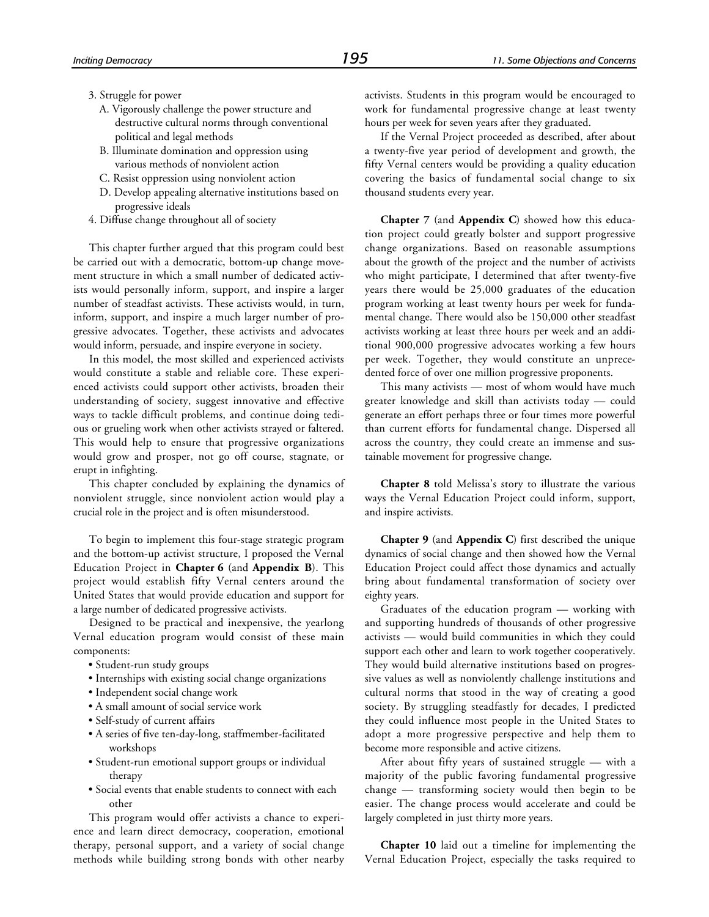- 3. Struggle for power
	- A. Vigorously challenge the power structure and destructive cultural norms through conventional political and legal methods
	- B. Illuminate domination and oppression using various methods of nonviolent action
	- C. Resist oppression using nonviolent action
	- D. Develop appealing alternative institutions based on progressive ideals
- 4. Diffuse change throughout all of society

This chapter further argued that this program could best be carried out with a democratic, bottom-up change movement structure in which a small number of dedicated activists would personally inform, support, and inspire a larger number of steadfast activists. These activists would, in turn, inform, support, and inspire a much larger number of progressive advocates. Together, these activists and advocates would inform, persuade, and inspire everyone in society.

In this model, the most skilled and experienced activists would constitute a stable and reliable core. These experienced activists could support other activists, broaden their understanding of society, suggest innovative and effective ways to tackle difficult problems, and continue doing tedious or grueling work when other activists strayed or faltered. This would help to ensure that progressive organizations would grow and prosper, not go off course, stagnate, or erupt in infighting.

This chapter concluded by explaining the dynamics of nonviolent struggle, since nonviolent action would play a crucial role in the project and is often misunderstood.

To begin to implement this four-stage strategic program and the bottom-up activist structure, I proposed the Vernal Education Project in **Chapter 6** (and **Appendix B**). This project would establish fifty Vernal centers around the United States that would provide education and support for a large number of dedicated progressive activists.

Designed to be practical and inexpensive, the yearlong Vernal education program would consist of these main components:

- Student-run study groups
- Internships with existing social change organizations
- Independent social change work
- A small amount of social service work
- Self-study of current affairs
- A series of five ten-day-long, staffmember-facilitated workshops
- Student-run emotional support groups or individual therapy
- Social events that enable students to connect with each other

This program would offer activists a chance to experience and learn direct democracy, cooperation, emotional therapy, personal support, and a variety of social change methods while building strong bonds with other nearby activists. Students in this program would be encouraged to work for fundamental progressive change at least twenty hours per week for seven years after they graduated.

If the Vernal Project proceeded as described, after about a twenty-five year period of development and growth, the fifty Vernal centers would be providing a quality education covering the basics of fundamental social change to six thousand students every year.

**Chapter 7** (and **Appendix C**) showed how this education project could greatly bolster and support progressive change organizations. Based on reasonable assumptions about the growth of the project and the number of activists who might participate, I determined that after twenty-five years there would be 25,000 graduates of the education program working at least twenty hours per week for fundamental change. There would also be 150,000 other steadfast activists working at least three hours per week and an additional 900,000 progressive advocates working a few hours per week. Together, they would constitute an unprecedented force of over one million progressive proponents.

This many activists — most of whom would have much greater knowledge and skill than activists today — could generate an effort perhaps three or four times more powerful than current efforts for fundamental change. Dispersed all across the country, they could create an immense and sustainable movement for progressive change.

**Chapter 8** told Melissa's story to illustrate the various ways the Vernal Education Project could inform, support, and inspire activists.

**Chapter 9** (and **Appendix C**) first described the unique dynamics of social change and then showed how the Vernal Education Project could affect those dynamics and actually bring about fundamental transformation of society over eighty years.

Graduates of the education program — working with and supporting hundreds of thousands of other progressive activists — would build communities in which they could support each other and learn to work together cooperatively. They would build alternative institutions based on progressive values as well as nonviolently challenge institutions and cultural norms that stood in the way of creating a good society. By struggling steadfastly for decades, I predicted they could influence most people in the United States to adopt a more progressive perspective and help them to become more responsible and active citizens.

After about fifty years of sustained struggle — with a majority of the public favoring fundamental progressive change — transforming society would then begin to be easier. The change process would accelerate and could be largely completed in just thirty more years.

**Chapter 10** laid out a timeline for implementing the Vernal Education Project, especially the tasks required to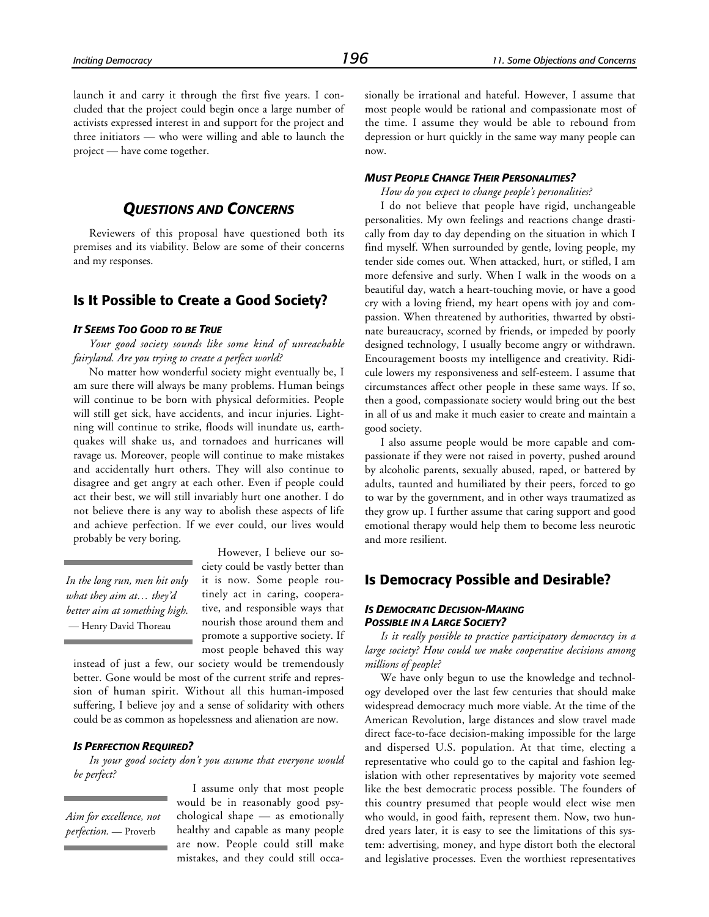launch it and carry it through the first five years. I concluded that the project could begin once a large number of activists expressed interest in and support for the project and three initiators — who were willing and able to launch the project — have come together.

# *QUESTIONS AND CONCERNS*

Reviewers of this proposal have questioned both its premises and its viability. Below are some of their concerns and my responses.

# **Is It Possible to Create a Good Society?**

#### *IT SEEMS TOO GOOD TO BE TRUE*

*Your good society sounds like some kind of unreachable fairyland. Are you trying to create a perfect world?*

No matter how wonderful society might eventually be, I am sure there will always be many problems. Human beings will continue to be born with physical deformities. People will still get sick, have accidents, and incur injuries. Lightning will continue to strike, floods will inundate us, earthquakes will shake us, and tornadoes and hurricanes will ravage us. Moreover, people will continue to make mistakes and accidentally hurt others. They will also continue to disagree and get angry at each other. Even if people could act their best, we will still invariably hurt one another. I do not believe there is any way to abolish these aspects of life and achieve perfection. If we ever could, our lives would probably be very boring.

*In the long run, men hit only what they aim at… they'd better aim at something high.* — Henry David Thoreau

However, I believe our society could be vastly better than it is now. Some people routinely act in caring, cooperative, and responsible ways that nourish those around them and promote a supportive society. If most people behaved this way

instead of just a few, our society would be tremendously better. Gone would be most of the current strife and repression of human spirit. Without all this human-imposed suffering, I believe joy and a sense of solidarity with others could be as common as hopelessness and alienation are now.

#### *IS PERFECTION REQUIRED?*

*In your good society don't you assume that everyone would be perfect?*

*Aim for excellence, not perfection.* — Proverb

I assume only that most people would be in reasonably good psychological shape — as emotionally healthy and capable as many people are now. People could still make mistakes, and they could still occasionally be irrational and hateful. However, I assume that most people would be rational and compassionate most of the time. I assume they would be able to rebound from depression or hurt quickly in the same way many people can now.

#### *MUST PEOPLE CHANGE THEIR PERSONALITIES?*

*How do you expect to change people's personalities?*

I do not believe that people have rigid, unchangeable personalities. My own feelings and reactions change drastically from day to day depending on the situation in which I find myself. When surrounded by gentle, loving people, my tender side comes out. When attacked, hurt, or stifled, I am more defensive and surly. When I walk in the woods on a beautiful day, watch a heart-touching movie, or have a good cry with a loving friend, my heart opens with joy and compassion. When threatened by authorities, thwarted by obstinate bureaucracy, scorned by friends, or impeded by poorly designed technology, I usually become angry or withdrawn. Encouragement boosts my intelligence and creativity. Ridicule lowers my responsiveness and self-esteem. I assume that circumstances affect other people in these same ways. If so, then a good, compassionate society would bring out the best in all of us and make it much easier to create and maintain a good society.

I also assume people would be more capable and compassionate if they were not raised in poverty, pushed around by alcoholic parents, sexually abused, raped, or battered by adults, taunted and humiliated by their peers, forced to go to war by the government, and in other ways traumatized as they grow up. I further assume that caring support and good emotional therapy would help them to become less neurotic and more resilient.

# **Is Democracy Possible and Desirable?**

#### *IS DEMOCRATIC DECISION-MAKING POSSIBLE IN A LARGE SOCIETY?*

*Is it really possible to practice participatory democracy in a large society? How could we make cooperative decisions among millions of people?*

We have only begun to use the knowledge and technology developed over the last few centuries that should make widespread democracy much more viable. At the time of the American Revolution, large distances and slow travel made direct face-to-face decision-making impossible for the large and dispersed U.S. population. At that time, electing a representative who could go to the capital and fashion legislation with other representatives by majority vote seemed like the best democratic process possible. The founders of this country presumed that people would elect wise men who would, in good faith, represent them. Now, two hundred years later, it is easy to see the limitations of this system: advertising, money, and hype distort both the electoral and legislative processes. Even the worthiest representatives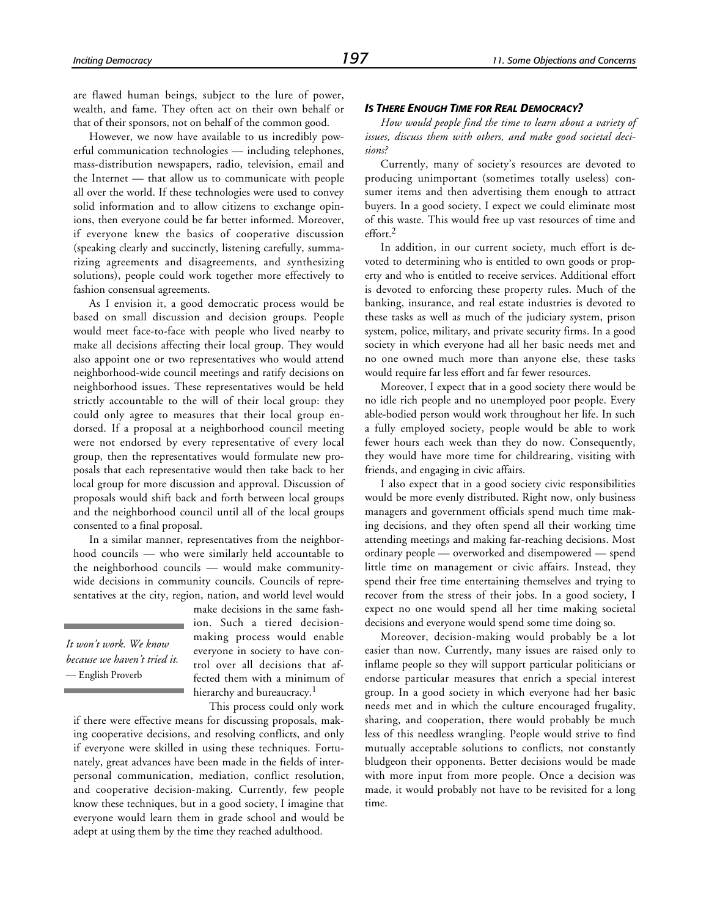are flawed human beings, subject to the lure of power, wealth, and fame. They often act on their own behalf or that of their sponsors, not on behalf of the common good.

However, we now have available to us incredibly powerful communication technologies — including telephones, mass-distribution newspapers, radio, television, email and the Internet — that allow us to communicate with people all over the world. If these technologies were used to convey solid information and to allow citizens to exchange opinions, then everyone could be far better informed. Moreover, if everyone knew the basics of cooperative discussion (speaking clearly and succinctly, listening carefully, summarizing agreements and disagreements, and synthesizing solutions), people could work together more effectively to fashion consensual agreements.

As I envision it, a good democratic process would be based on small discussion and decision groups. People would meet face-to-face with people who lived nearby to make all decisions affecting their local group. They would also appoint one or two representatives who would attend neighborhood-wide council meetings and ratify decisions on neighborhood issues. These representatives would be held strictly accountable to the will of their local group: they could only agree to measures that their local group endorsed. If a proposal at a neighborhood council meeting were not endorsed by every representative of every local group, then the representatives would formulate new proposals that each representative would then take back to her local group for more discussion and approval. Discussion of proposals would shift back and forth between local groups and the neighborhood council until all of the local groups consented to a final proposal.

In a similar manner, representatives from the neighborhood councils — who were similarly held accountable to the neighborhood councils — would make communitywide decisions in community councils. Councils of representatives at the city, region, nation, and world level would

*It won't work. We know because we haven't tried it.* — English Proverb

make decisions in the same fashion. Such a tiered decisionmaking process would enable everyone in society to have control over all decisions that affected them with a minimum of hierarchy and bureaucracy.<sup>1</sup>

This process could only work if there were effective means for discussing proposals, making cooperative decisions, and resolving conflicts, and only if everyone were skilled in using these techniques. Fortunately, great advances have been made in the fields of interpersonal communication, mediation, conflict resolution, and cooperative decision-making. Currently, few people know these techniques, but in a good society, I imagine that everyone would learn them in grade school and would be adept at using them by the time they reached adulthood.

#### *IS THERE ENOUGH TIME FOR REAL DEMOCRACY?*

*How would people find the time to learn about a variety of issues, discuss them with others, and make good societal decisions?*

Currently, many of society's resources are devoted to producing unimportant (sometimes totally useless) consumer items and then advertising them enough to attract buyers. In a good society, I expect we could eliminate most of this waste. This would free up vast resources of time and  $effort$ <sup>2</sup>

In addition, in our current society, much effort is devoted to determining who is entitled to own goods or property and who is entitled to receive services. Additional effort is devoted to enforcing these property rules. Much of the banking, insurance, and real estate industries is devoted to these tasks as well as much of the judiciary system, prison system, police, military, and private security firms. In a good society in which everyone had all her basic needs met and no one owned much more than anyone else, these tasks would require far less effort and far fewer resources.

Moreover, I expect that in a good society there would be no idle rich people and no unemployed poor people. Every able-bodied person would work throughout her life. In such a fully employed society, people would be able to work fewer hours each week than they do now. Consequently, they would have more time for childrearing, visiting with friends, and engaging in civic affairs.

I also expect that in a good society civic responsibilities would be more evenly distributed. Right now, only business managers and government officials spend much time making decisions, and they often spend all their working time attending meetings and making far-reaching decisions. Most ordinary people — overworked and disempowered — spend little time on management or civic affairs. Instead, they spend their free time entertaining themselves and trying to recover from the stress of their jobs. In a good society, I expect no one would spend all her time making societal decisions and everyone would spend some time doing so.

Moreover, decision-making would probably be a lot easier than now. Currently, many issues are raised only to inflame people so they will support particular politicians or endorse particular measures that enrich a special interest group. In a good society in which everyone had her basic needs met and in which the culture encouraged frugality, sharing, and cooperation, there would probably be much less of this needless wrangling. People would strive to find mutually acceptable solutions to conflicts, not constantly bludgeon their opponents. Better decisions would be made with more input from more people. Once a decision was made, it would probably not have to be revisited for a long time.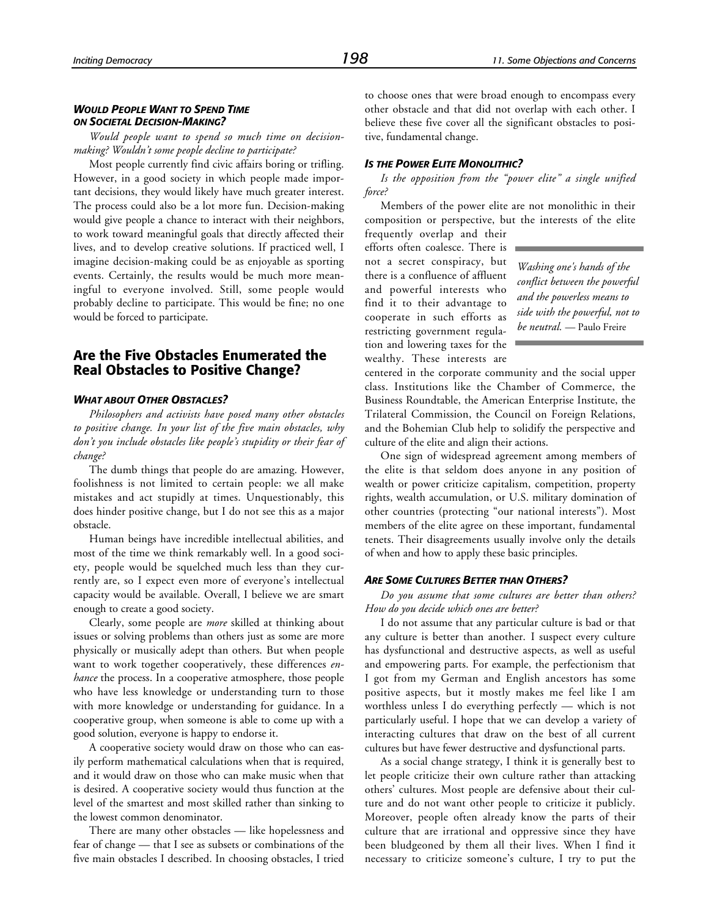#### *WOULD PEOPLE WANT TO SPEND TIME ON SOCIETAL DECISION-MAKING?*

*Would people want to spend so much time on decisionmaking? Wouldn't some people decline to participate?*

Most people currently find civic affairs boring or trifling. However, in a good society in which people made important decisions, they would likely have much greater interest. The process could also be a lot more fun. Decision-making would give people a chance to interact with their neighbors, to work toward meaningful goals that directly affected their lives, and to develop creative solutions. If practiced well, I imagine decision-making could be as enjoyable as sporting events. Certainly, the results would be much more meaningful to everyone involved. Still, some people would probably decline to participate. This would be fine; no one would be forced to participate.

# **Are the Five Obstacles Enumerated the Real Obstacles to Positive Change?**

#### *WHAT ABOUT OTHER OBSTACLES?*

*Philosophers and activists have posed many other obstacles to positive change. In your list of the five main obstacles, why don't you include obstacles like people's stupidity or their fear of change?*

The dumb things that people do are amazing. However, foolishness is not limited to certain people: we all make mistakes and act stupidly at times. Unquestionably, this does hinder positive change, but I do not see this as a major obstacle.

Human beings have incredible intellectual abilities, and most of the time we think remarkably well. In a good society, people would be squelched much less than they currently are, so I expect even more of everyone's intellectual capacity would be available. Overall, I believe we are smart enough to create a good society.

Clearly, some people are *more* skilled at thinking about issues or solving problems than others just as some are more physically or musically adept than others. But when people want to work together cooperatively, these differences *enhance* the process. In a cooperative atmosphere, those people who have less knowledge or understanding turn to those with more knowledge or understanding for guidance. In a cooperative group, when someone is able to come up with a good solution, everyone is happy to endorse it.

A cooperative society would draw on those who can easily perform mathematical calculations when that is required, and it would draw on those who can make music when that is desired. A cooperative society would thus function at the level of the smartest and most skilled rather than sinking to the lowest common denominator.

There are many other obstacles — like hopelessness and fear of change — that I see as subsets or combinations of the five main obstacles I described. In choosing obstacles, I tried

to choose ones that were broad enough to encompass every other obstacle and that did not overlap with each other. I believe these five cover all the significant obstacles to positive, fundamental change.

#### *IS THE POWER ELITE MONOLITHIC?*

*Is the opposition from the "power elite" a single unified force?*

Members of the power elite are not monolithic in their composition or perspective, but the interests of the elite

frequently overlap and their efforts often coalesce. There is not a secret conspiracy, but there is a confluence of affluent and powerful interests who find it to their advantage to cooperate in such efforts as restricting government regulation and lowering taxes for the wealthy. These interests are

*Washing one's hands of the conflict between the powerful and the powerless means to side with the powerful, not to be neutral.* — Paulo Freire

centered in the corporate community and the social upper class. Institutions like the Chamber of Commerce, the Business Roundtable, the American Enterprise Institute, the Trilateral Commission, the Council on Foreign Relations, and the Bohemian Club help to solidify the perspective and culture of the elite and align their actions.

One sign of widespread agreement among members of the elite is that seldom does anyone in any position of wealth or power criticize capitalism, competition, property rights, wealth accumulation, or U.S. military domination of other countries (protecting "our national interests"). Most members of the elite agree on these important, fundamental tenets. Their disagreements usually involve only the details of when and how to apply these basic principles.

#### *ARE SOME CULTURES BETTER THAN OTHERS?*

*Do you assume that some cultures are better than others? How do you decide which ones are better?*

I do not assume that any particular culture is bad or that any culture is better than another. I suspect every culture has dysfunctional and destructive aspects, as well as useful and empowering parts. For example, the perfectionism that I got from my German and English ancestors has some positive aspects, but it mostly makes me feel like I am worthless unless I do everything perfectly — which is not particularly useful. I hope that we can develop a variety of interacting cultures that draw on the best of all current cultures but have fewer destructive and dysfunctional parts.

As a social change strategy, I think it is generally best to let people criticize their own culture rather than attacking others' cultures. Most people are defensive about their culture and do not want other people to criticize it publicly. Moreover, people often already know the parts of their culture that are irrational and oppressive since they have been bludgeoned by them all their lives. When I find it necessary to criticize someone's culture, I try to put the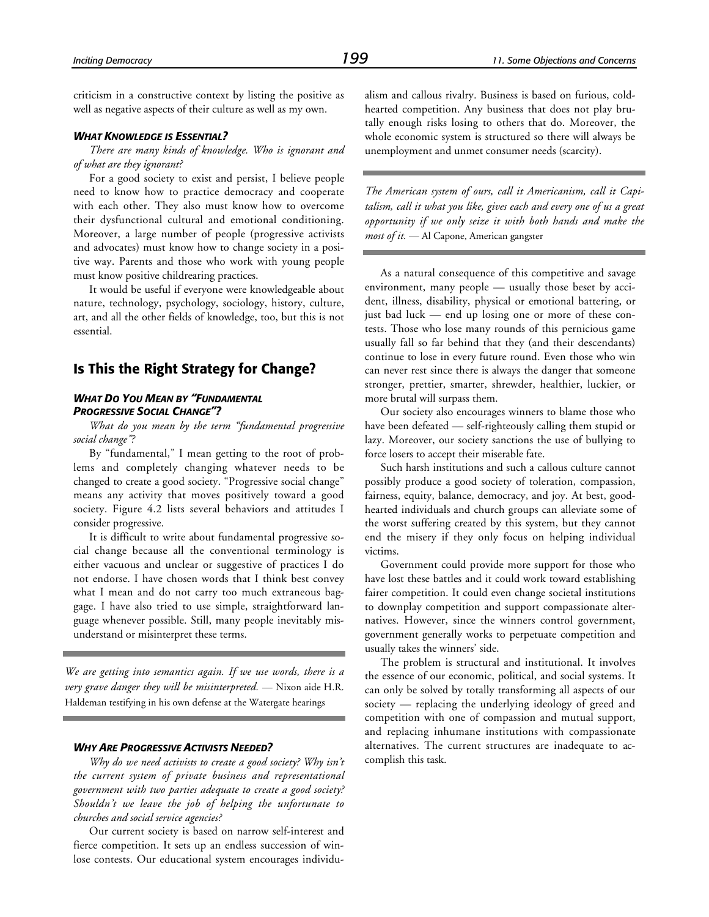criticism in a constructive context by listing the positive as well as negative aspects of their culture as well as my own.

#### *WHAT KNOWLEDGE IS ESSENTIAL?*

*There are many kinds of knowledge. Who is ignorant and of what are they ignorant?*

For a good society to exist and persist, I believe people need to know how to practice democracy and cooperate with each other. They also must know how to overcome their dysfunctional cultural and emotional conditioning. Moreover, a large number of people (progressive activists and advocates) must know how to change society in a positive way. Parents and those who work with young people must know positive childrearing practices.

It would be useful if everyone were knowledgeable about nature, technology, psychology, sociology, history, culture, art, and all the other fields of knowledge, too, but this is not essential.

# **Is This the Right Strategy for Change?**

#### *WHAT DO YOU MEAN BY "FUNDAMENTAL PROGRESSIVE SOCIAL CHANGE"?*

*What do you mean by the term "fundamental progressive social change"?*

By "fundamental," I mean getting to the root of problems and completely changing whatever needs to be changed to create a good society. "Progressive social change" means any activity that moves positively toward a good society. Figure 4.2 lists several behaviors and attitudes I consider progressive.

It is difficult to write about fundamental progressive social change because all the conventional terminology is either vacuous and unclear or suggestive of practices I do not endorse. I have chosen words that I think best convey what I mean and do not carry too much extraneous baggage. I have also tried to use simple, straightforward language whenever possible. Still, many people inevitably misunderstand or misinterpret these terms.

*We are getting into semantics again. If we use words, there is a very grave danger they will be misinterpreted.* — Nixon aide H.R. Haldeman testifying in his own defense at the Watergate hearings

#### *WHY ARE PROGRESSIVE ACTIVISTS NEEDED?*

*Why do we need activists to create a good society? Why isn't the current system of private business and representational government with two parties adequate to create a good society? Shouldn't we leave the job of helping the unfortunate to churches and social service agencies?*

Our current society is based on narrow self-interest and fierce competition. It sets up an endless succession of winlose contests. Our educational system encourages individualism and callous rivalry. Business is based on furious, coldhearted competition. Any business that does not play brutally enough risks losing to others that do. Moreover, the whole economic system is structured so there will always be unemployment and unmet consumer needs (scarcity).

*The American system of ours, call it Americanism, call it Capitalism, call it what you like, gives each and every one of us a great opportunity if we only seize it with both hands and make the most of it.* — Al Capone, American gangster

As a natural consequence of this competitive and savage environment, many people — usually those beset by accident, illness, disability, physical or emotional battering, or just bad luck — end up losing one or more of these contests. Those who lose many rounds of this pernicious game usually fall so far behind that they (and their descendants) continue to lose in every future round. Even those who win can never rest since there is always the danger that someone stronger, prettier, smarter, shrewder, healthier, luckier, or more brutal will surpass them.

Our society also encourages winners to blame those who have been defeated — self-righteously calling them stupid or lazy. Moreover, our society sanctions the use of bullying to force losers to accept their miserable fate.

Such harsh institutions and such a callous culture cannot possibly produce a good society of toleration, compassion, fairness, equity, balance, democracy, and joy. At best, goodhearted individuals and church groups can alleviate some of the worst suffering created by this system, but they cannot end the misery if they only focus on helping individual victims.

Government could provide more support for those who have lost these battles and it could work toward establishing fairer competition. It could even change societal institutions to downplay competition and support compassionate alternatives. However, since the winners control government, government generally works to perpetuate competition and usually takes the winners' side.

The problem is structural and institutional. It involves the essence of our economic, political, and social systems. It can only be solved by totally transforming all aspects of our society — replacing the underlying ideology of greed and competition with one of compassion and mutual support, and replacing inhumane institutions with compassionate alternatives. The current structures are inadequate to accomplish this task.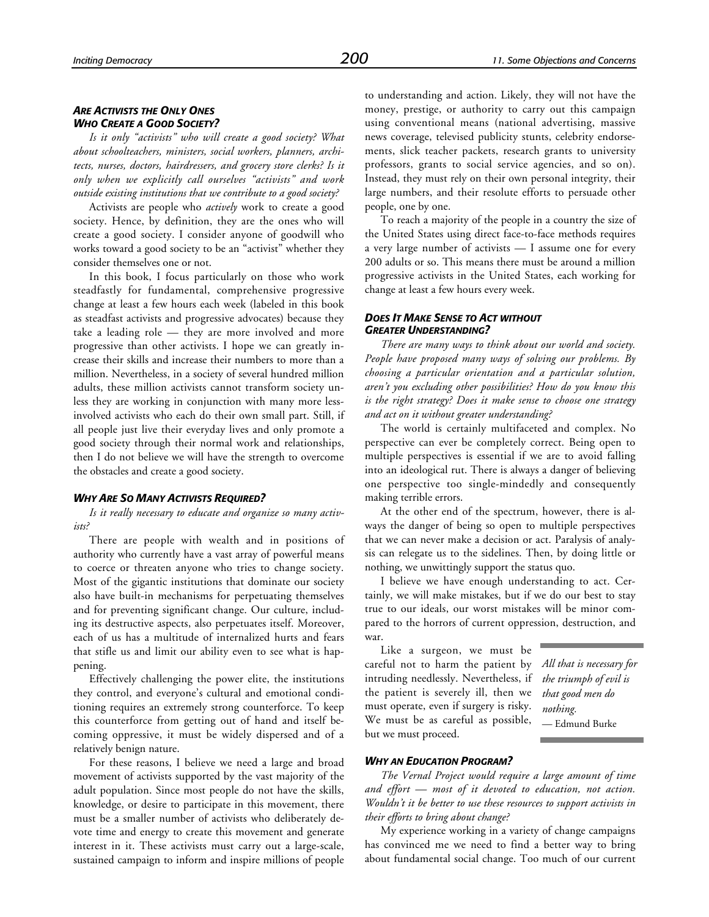#### *ARE ACTIVISTS THE ONLY ONES WHO CREATE A GOOD SOCIETY?*

*Is it only "activists" who will create a good society? What about schoolteachers, ministers, social workers, planners, architects, nurses, doctors, hairdressers, and grocery store clerks? Is it only when we explicitly call ourselves "activists" and work outside existing institutions that we contribute to a good society?*

Activists are people who *actively* work to create a good society. Hence, by definition, they are the ones who will create a good society. I consider anyone of goodwill who works toward a good society to be an "activist" whether they consider themselves one or not.

In this book, I focus particularly on those who work steadfastly for fundamental, comprehensive progressive change at least a few hours each week (labeled in this book as steadfast activists and progressive advocates) because they take a leading role — they are more involved and more progressive than other activists. I hope we can greatly increase their skills and increase their numbers to more than a million. Nevertheless, in a society of several hundred million adults, these million activists cannot transform society unless they are working in conjunction with many more lessinvolved activists who each do their own small part. Still, if all people just live their everyday lives and only promote a good society through their normal work and relationships, then I do not believe we will have the strength to overcome the obstacles and create a good society.

#### *WHY ARE SO MANY ACTIVISTS REQUIRED?*

*Is it really necessary to educate and organize so many activists?*

There are people with wealth and in positions of authority who currently have a vast array of powerful means to coerce or threaten anyone who tries to change society. Most of the gigantic institutions that dominate our society also have built-in mechanisms for perpetuating themselves and for preventing significant change. Our culture, including its destructive aspects, also perpetuates itself. Moreover, each of us has a multitude of internalized hurts and fears that stifle us and limit our ability even to see what is happening.

Effectively challenging the power elite, the institutions they control, and everyone's cultural and emotional conditioning requires an extremely strong counterforce. To keep this counterforce from getting out of hand and itself becoming oppressive, it must be widely dispersed and of a relatively benign nature.

For these reasons, I believe we need a large and broad movement of activists supported by the vast majority of the adult population. Since most people do not have the skills, knowledge, or desire to participate in this movement, there must be a smaller number of activists who deliberately devote time and energy to create this movement and generate interest in it. These activists must carry out a large-scale, sustained campaign to inform and inspire millions of people to understanding and action. Likely, they will not have the money, prestige, or authority to carry out this campaign using conventional means (national advertising, massive news coverage, televised publicity stunts, celebrity endorsements, slick teacher packets, research grants to university professors, grants to social service agencies, and so on). Instead, they must rely on their own personal integrity, their large numbers, and their resolute efforts to persuade other people, one by one.

To reach a majority of the people in a country the size of the United States using direct face-to-face methods requires a very large number of activists — I assume one for every 200 adults or so. This means there must be around a million progressive activists in the United States, each working for change at least a few hours every week.

#### *DOES IT MAKE SENSE TO ACT WITHOUT GREATER UNDERSTANDING?*

*There are many ways to think about our world and society. People have proposed many ways of solving our problems. By choosing a particular orientation and a particular solution, aren't you excluding other possibilities? How do you know this is the right strategy? Does it make sense to choose one strategy and act on it without greater understanding?*

The world is certainly multifaceted and complex. No perspective can ever be completely correct. Being open to multiple perspectives is essential if we are to avoid falling into an ideological rut. There is always a danger of believing one perspective too single-mindedly and consequently making terrible errors.

At the other end of the spectrum, however, there is always the danger of being so open to multiple perspectives that we can never make a decision or act. Paralysis of analysis can relegate us to the sidelines. Then, by doing little or nothing, we unwittingly support the status quo.

I believe we have enough understanding to act. Certainly, we will make mistakes, but if we do our best to stay true to our ideals, our worst mistakes will be minor compared to the horrors of current oppression, destruction, and war.

Like a surgeon, we must be careful not to harm the patient by intruding needlessly. Nevertheless, if the patient is severely ill, then we must operate, even if surgery is risky. We must be as careful as possible, but we must proceed.

*All that is necessary for the triumph of evil is that good men do nothing.* — Edmund Burke

#### *WHY AN EDUCATION PROGRAM?*

*The Vernal Project would require a large amount of time and effort — most of it devoted to education, not action. Wouldn't it be better to use these resources to support activists in their efforts to bring about change?*

My experience working in a variety of change campaigns has convinced me we need to find a better way to bring about fundamental social change. Too much of our current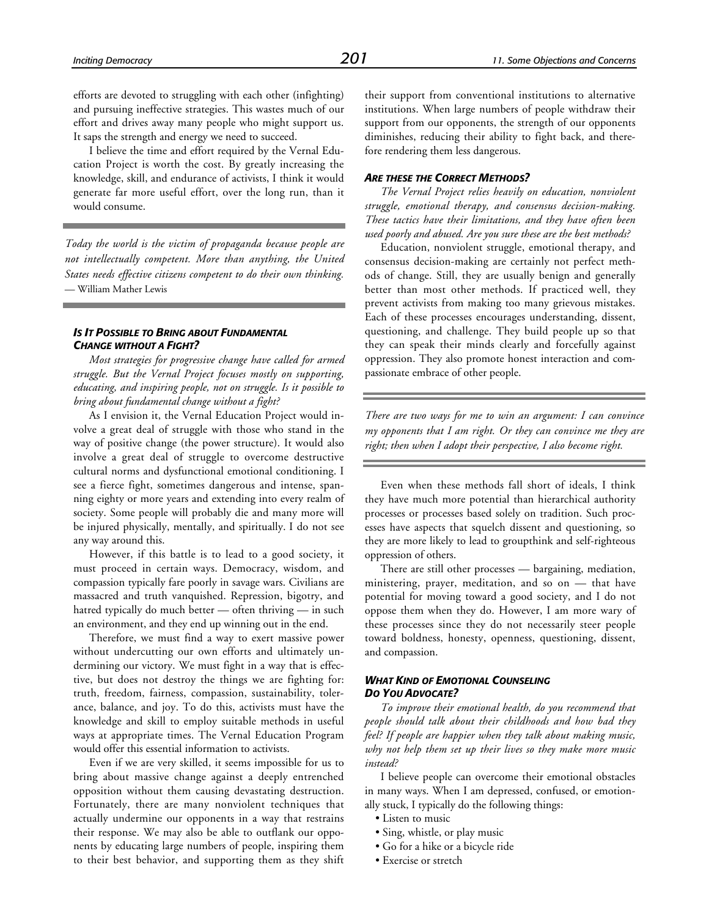efforts are devoted to struggling with each other (infighting) and pursuing ineffective strategies. This wastes much of our effort and drives away many people who might support us. It saps the strength and energy we need to succeed.

I believe the time and effort required by the Vernal Education Project is worth the cost. By greatly increasing the knowledge, skill, and endurance of activists, I think it would generate far more useful effort, over the long run, than it would consume.

*Today the world is the victim of propaganda because people are not intellectually competent. More than anything, the United States needs effective citizens competent to do their own thinking.* — William Mather Lewis

#### *IS IT POSSIBLE TO BRING ABOUT FUNDAMENTAL CHANGE WITHOUT A FIGHT?*

*Most strategies for progressive change have called for armed struggle. But the Vernal Project focuses mostly on supporting, educating, and inspiring people, not on struggle. Is it possible to bring about fundamental change without a fight?*

As I envision it, the Vernal Education Project would involve a great deal of struggle with those who stand in the way of positive change (the power structure). It would also involve a great deal of struggle to overcome destructive cultural norms and dysfunctional emotional conditioning. I see a fierce fight, sometimes dangerous and intense, spanning eighty or more years and extending into every realm of society. Some people will probably die and many more will be injured physically, mentally, and spiritually. I do not see any way around this.

However, if this battle is to lead to a good society, it must proceed in certain ways. Democracy, wisdom, and compassion typically fare poorly in savage wars. Civilians are massacred and truth vanquished. Repression, bigotry, and hatred typically do much better — often thriving — in such an environment, and they end up winning out in the end.

Therefore, we must find a way to exert massive power without undercutting our own efforts and ultimately undermining our victory. We must fight in a way that is effective, but does not destroy the things we are fighting for: truth, freedom, fairness, compassion, sustainability, tolerance, balance, and joy. To do this, activists must have the knowledge and skill to employ suitable methods in useful ways at appropriate times. The Vernal Education Program would offer this essential information to activists.

Even if we are very skilled, it seems impossible for us to bring about massive change against a deeply entrenched opposition without them causing devastating destruction. Fortunately, there are many nonviolent techniques that actually undermine our opponents in a way that restrains their response. We may also be able to outflank our opponents by educating large numbers of people, inspiring them to their best behavior, and supporting them as they shift

their support from conventional institutions to alternative institutions. When large numbers of people withdraw their support from our opponents, the strength of our opponents diminishes, reducing their ability to fight back, and therefore rendering them less dangerous.

#### *ARE THESE THE CORRECT METHODS?*

*The Vernal Project relies heavily on education, nonviolent struggle, emotional therapy, and consensus decision-making. These tactics have their limitations, and they have often been used poorly and abused. Are you sure these are the best methods?*

Education, nonviolent struggle, emotional therapy, and consensus decision-making are certainly not perfect methods of change. Still, they are usually benign and generally better than most other methods. If practiced well, they prevent activists from making too many grievous mistakes. Each of these processes encourages understanding, dissent, questioning, and challenge. They build people up so that they can speak their minds clearly and forcefully against oppression. They also promote honest interaction and compassionate embrace of other people.

*There are two ways for me to win an argument: I can convince my opponents that I am right. Or they can convince me they are right; then when I adopt their perspective, I also become right.*

Even when these methods fall short of ideals, I think they have much more potential than hierarchical authority processes or processes based solely on tradition. Such processes have aspects that squelch dissent and questioning, so they are more likely to lead to groupthink and self-righteous oppression of others.

There are still other processes — bargaining, mediation, ministering, prayer, meditation, and so on — that have potential for moving toward a good society, and I do not oppose them when they do. However, I am more wary of these processes since they do not necessarily steer people toward boldness, honesty, openness, questioning, dissent, and compassion.

#### *WHAT KIND OF EMOTIONAL COUNSELING DO YOU ADVOCATE?*

*To improve their emotional health, do you recommend that people should talk about their childhoods and how bad they feel? If people are happier when they talk about making music, why not help them set up their lives so they make more music instead?*

I believe people can overcome their emotional obstacles in many ways. When I am depressed, confused, or emotionally stuck, I typically do the following things:

- Listen to music
- Sing, whistle, or play music
- Go for a hike or a bicycle ride
- Exercise or stretch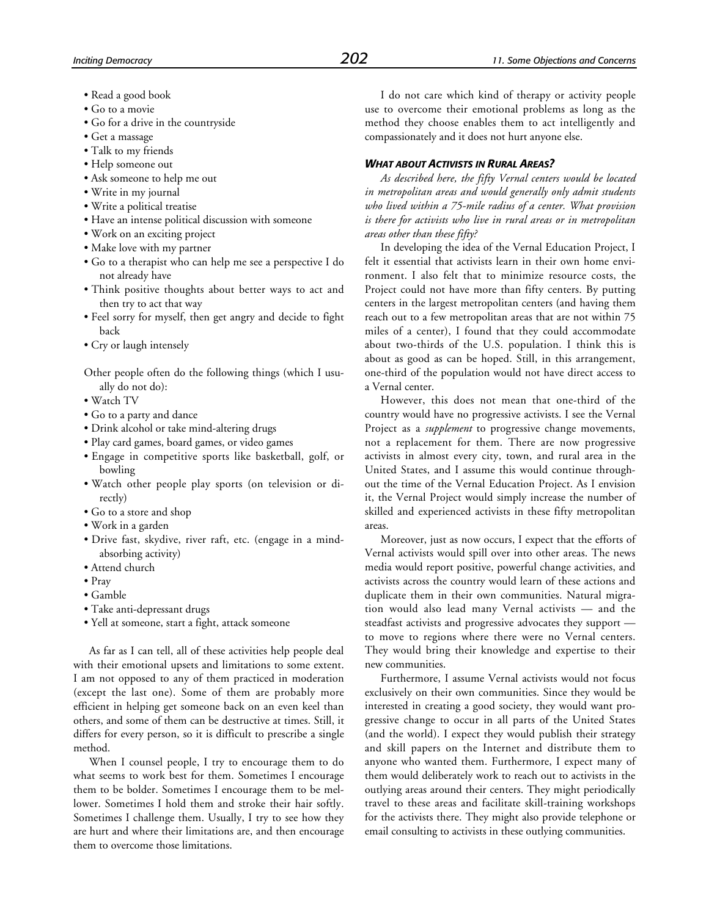- Read a good book
- Go to a movie
- Go for a drive in the countryside
- Get a massage
- Talk to my friends
- Help someone out
- Ask someone to help me out
- Write in my journal
- Write a political treatise
- Have an intense political discussion with someone
- Work on an exciting project
- Make love with my partner
- Go to a therapist who can help me see a perspective I do not already have
- Think positive thoughts about better ways to act and then try to act that way
- Feel sorry for myself, then get angry and decide to fight back
- Cry or laugh intensely

Other people often do the following things (which I usually do not do):

- Watch TV
- Go to a party and dance
- Drink alcohol or take mind-altering drugs
- Play card games, board games, or video games
- Engage in competitive sports like basketball, golf, or bowling
- Watch other people play sports (on television or directly)
- Go to a store and shop
- Work in a garden
- Drive fast, skydive, river raft, etc. (engage in a mindabsorbing activity)
- Attend church
- Pray
- Gamble
- Take anti-depressant drugs
- Yell at someone, start a fight, attack someone

As far as I can tell, all of these activities help people deal with their emotional upsets and limitations to some extent. I am not opposed to any of them practiced in moderation (except the last one). Some of them are probably more efficient in helping get someone back on an even keel than others, and some of them can be destructive at times. Still, it differs for every person, so it is difficult to prescribe a single method.

When I counsel people, I try to encourage them to do what seems to work best for them. Sometimes I encourage them to be bolder. Sometimes I encourage them to be mellower. Sometimes I hold them and stroke their hair softly. Sometimes I challenge them. Usually, I try to see how they are hurt and where their limitations are, and then encourage them to overcome those limitations.

I do not care which kind of therapy or activity people use to overcome their emotional problems as long as the method they choose enables them to act intelligently and compassionately and it does not hurt anyone else.

#### *WHAT ABOUT ACTIVISTS IN RURAL AREAS?*

*As described here, the fifty Vernal centers would be located in metropolitan areas and would generally only admit students who lived within a 75-mile radius of a center. What provision is there for activists who live in rural areas or in metropolitan areas other than these fifty?*

In developing the idea of the Vernal Education Project, I felt it essential that activists learn in their own home environment. I also felt that to minimize resource costs, the Project could not have more than fifty centers. By putting centers in the largest metropolitan centers (and having them reach out to a few metropolitan areas that are not within 75 miles of a center), I found that they could accommodate about two-thirds of the U.S. population. I think this is about as good as can be hoped. Still, in this arrangement, one-third of the population would not have direct access to a Vernal center.

However, this does not mean that one-third of the country would have no progressive activists. I see the Vernal Project as a *supplement* to progressive change movements, not a replacement for them. There are now progressive activists in almost every city, town, and rural area in the United States, and I assume this would continue throughout the time of the Vernal Education Project. As I envision it, the Vernal Project would simply increase the number of skilled and experienced activists in these fifty metropolitan areas.

Moreover, just as now occurs, I expect that the efforts of Vernal activists would spill over into other areas. The news media would report positive, powerful change activities, and activists across the country would learn of these actions and duplicate them in their own communities. Natural migration would also lead many Vernal activists — and the steadfast activists and progressive advocates they support to move to regions where there were no Vernal centers. They would bring their knowledge and expertise to their new communities.

Furthermore, I assume Vernal activists would not focus exclusively on their own communities. Since they would be interested in creating a good society, they would want progressive change to occur in all parts of the United States (and the world). I expect they would publish their strategy and skill papers on the Internet and distribute them to anyone who wanted them. Furthermore, I expect many of them would deliberately work to reach out to activists in the outlying areas around their centers. They might periodically travel to these areas and facilitate skill-training workshops for the activists there. They might also provide telephone or email consulting to activists in these outlying communities.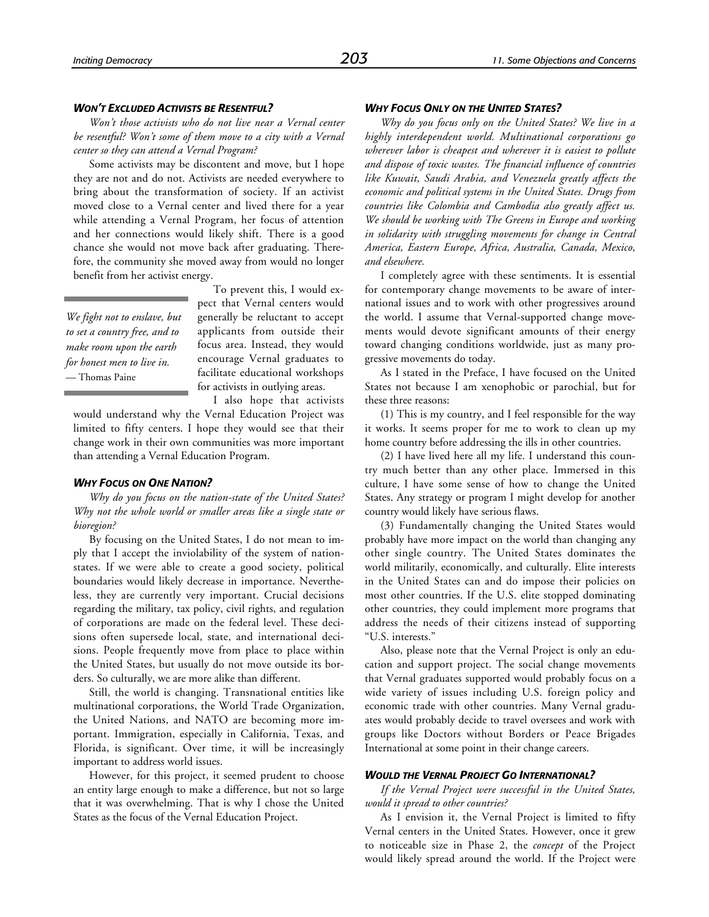#### *WON'T EXCLUDED ACTIVISTS BE RESENTFUL?*

*Won't those activists who do not live near a Vernal center be resentful? Won't some of them move to a city with a Vernal center so they can attend a Vernal Program?*

Some activists may be discontent and move, but I hope they are not and do not. Activists are needed everywhere to bring about the transformation of society. If an activist moved close to a Vernal center and lived there for a year while attending a Vernal Program, her focus of attention and her connections would likely shift. There is a good chance she would not move back after graduating. Therefore, the community she moved away from would no longer benefit from her activist energy.

*We fight not to enslave, but to set a country free, and to make room upon the earth for honest men to live in.* — Thomas Paine

To prevent this, I would expect that Vernal centers would generally be reluctant to accept applicants from outside their focus area. Instead, they would encourage Vernal graduates to facilitate educational workshops for activists in outlying areas.

I also hope that activists would understand why the Vernal Education Project was limited to fifty centers. I hope they would see that their change work in their own communities was more important than attending a Vernal Education Program.

#### *WHY FOCUS ON ONE NATION?*

*Why do you focus on the nation-state of the United States? Why not the whole world or smaller areas like a single state or bioregion?*

By focusing on the United States, I do not mean to imply that I accept the inviolability of the system of nationstates. If we were able to create a good society, political boundaries would likely decrease in importance. Nevertheless, they are currently very important. Crucial decisions regarding the military, tax policy, civil rights, and regulation of corporations are made on the federal level. These decisions often supersede local, state, and international decisions. People frequently move from place to place within the United States, but usually do not move outside its borders. So culturally, we are more alike than different.

Still, the world is changing. Transnational entities like multinational corporations, the World Trade Organization, the United Nations, and NATO are becoming more important. Immigration, especially in California, Texas, and Florida, is significant. Over time, it will be increasingly important to address world issues.

However, for this project, it seemed prudent to choose an entity large enough to make a difference, but not so large that it was overwhelming. That is why I chose the United States as the focus of the Vernal Education Project.

#### *WHY FOCUS ONLY ON THE UNITED STATES?*

*Why do you focus only on the United States? We live in a highly interdependent world. Multinational corporations go wherever labor is cheapest and wherever it is easiest to pollute and dispose of toxic wastes. The financial influence of countries like Kuwait, Saudi Arabia, and Venezuela greatly affects the economic and political systems in the United States. Drugs from countries like Colombia and Cambodia also greatly affect us. We should be working with The Greens in Europe and working in solidarity with struggling movements for change in Central America, Eastern Europe, Africa, Australia, Canada, Mexico, and elsewhere.*

I completely agree with these sentiments. It is essential for contemporary change movements to be aware of international issues and to work with other progressives around the world. I assume that Vernal-supported change movements would devote significant amounts of their energy toward changing conditions worldwide, just as many progressive movements do today.

As I stated in the Preface, I have focused on the United States not because I am xenophobic or parochial, but for these three reasons:

(1) This is my country, and I feel responsible for the way it works. It seems proper for me to work to clean up my home country before addressing the ills in other countries.

(2) I have lived here all my life. I understand this country much better than any other place. Immersed in this culture, I have some sense of how to change the United States. Any strategy or program I might develop for another country would likely have serious flaws.

(3) Fundamentally changing the United States would probably have more impact on the world than changing any other single country. The United States dominates the world militarily, economically, and culturally. Elite interests in the United States can and do impose their policies on most other countries. If the U.S. elite stopped dominating other countries, they could implement more programs that address the needs of their citizens instead of supporting "U.S. interests."

Also, please note that the Vernal Project is only an education and support project. The social change movements that Vernal graduates supported would probably focus on a wide variety of issues including U.S. foreign policy and economic trade with other countries. Many Vernal graduates would probably decide to travel oversees and work with groups like Doctors without Borders or Peace Brigades International at some point in their change careers.

#### *WOULD THE VERNAL PROJECT GO INTERNATIONAL?*

*If the Vernal Project were successful in the United States, would it spread to other countries?*

As I envision it, the Vernal Project is limited to fifty Vernal centers in the United States. However, once it grew to noticeable size in Phase 2, the *concept* of the Project would likely spread around the world. If the Project were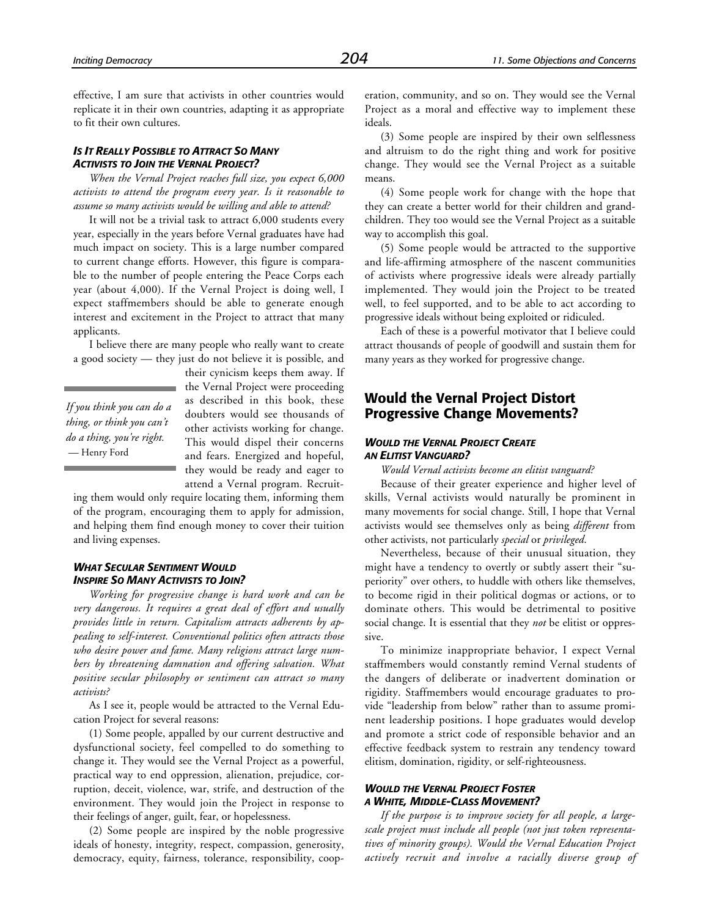effective, I am sure that activists in other countries would replicate it in their own countries, adapting it as appropriate to fit their own cultures.

#### *IS IT REALLY POSSIBLE TO ATTRACT SO MANY ACTIVISTS TO JOIN THE VERNAL PROJECT?*

*When the Vernal Project reaches full size, you expect 6,000 activists to attend the program every year. Is it reasonable to assume so many activists would be willing and able to attend?*

It will not be a trivial task to attract 6,000 students every year, especially in the years before Vernal graduates have had much impact on society. This is a large number compared to current change efforts. However, this figure is comparable to the number of people entering the Peace Corps each year (about 4,000). If the Vernal Project is doing well, I expect staffmembers should be able to generate enough interest and excitement in the Project to attract that many applicants.

I believe there are many people who really want to create a good society — they just do not believe it is possible, and

*If you think you can do a thing, or think you can't do a thing, you're right.* — Henry Ford

their cynicism keeps them away. If the Vernal Project were proceeding as described in this book, these doubters would see thousands of other activists working for change. This would dispel their concerns and fears. Energized and hopeful, they would be ready and eager to attend a Vernal program. Recruit-

ing them would only require locating them, informing them of the program, encouraging them to apply for admission, and helping them find enough money to cover their tuition and living expenses.

#### *WHAT SECULAR SENTIMENT WOULD INSPIRE SO MANY ACTIVISTS TO JOIN?*

*Working for progressive change is hard work and can be very dangerous. It requires a great deal of effort and usually provides little in return. Capitalism attracts adherents by appealing to self-interest. Conventional politics often attracts those who desire power and fame. Many religions attract large numbers by threatening damnation and offering salvation. What positive secular philosophy or sentiment can attract so many activists?*

As I see it, people would be attracted to the Vernal Education Project for several reasons:

(1) Some people, appalled by our current destructive and dysfunctional society, feel compelled to do something to change it. They would see the Vernal Project as a powerful, practical way to end oppression, alienation, prejudice, corruption, deceit, violence, war, strife, and destruction of the environment. They would join the Project in response to their feelings of anger, guilt, fear, or hopelessness.

(2) Some people are inspired by the noble progressive ideals of honesty, integrity, respect, compassion, generosity, democracy, equity, fairness, tolerance, responsibility, cooperation, community, and so on. They would see the Vernal Project as a moral and effective way to implement these ideals.

(3) Some people are inspired by their own selflessness and altruism to do the right thing and work for positive change. They would see the Vernal Project as a suitable means.

(4) Some people work for change with the hope that they can create a better world for their children and grandchildren. They too would see the Vernal Project as a suitable way to accomplish this goal.

(5) Some people would be attracted to the supportive and life-affirming atmosphere of the nascent communities of activists where progressive ideals were already partially implemented. They would join the Project to be treated well, to feel supported, and to be able to act according to progressive ideals without being exploited or ridiculed.

Each of these is a powerful motivator that I believe could attract thousands of people of goodwill and sustain them for many years as they worked for progressive change.

# **Would the Vernal Project Distort Progressive Change Movements?**

#### *WOULD THE VERNAL PROJECT CREATE AN ELITIST VANGUARD?*

*Would Vernal activists become an elitist vanguard?*

Because of their greater experience and higher level of skills, Vernal activists would naturally be prominent in many movements for social change. Still, I hope that Vernal activists would see themselves only as being *different* from other activists, not particularly *special* or *privileged*.

Nevertheless, because of their unusual situation, they might have a tendency to overtly or subtly assert their "superiority" over others, to huddle with others like themselves, to become rigid in their political dogmas or actions, or to dominate others. This would be detrimental to positive social change. It is essential that they *not* be elitist or oppressive.

To minimize inappropriate behavior, I expect Vernal staffmembers would constantly remind Vernal students of the dangers of deliberate or inadvertent domination or rigidity. Staffmembers would encourage graduates to provide "leadership from below" rather than to assume prominent leadership positions. I hope graduates would develop and promote a strict code of responsible behavior and an effective feedback system to restrain any tendency toward elitism, domination, rigidity, or self-righteousness.

#### *WOULD THE VERNAL PROJECT FOSTER A WHITE, MIDDLE-CLASS MOVEMENT?*

*If the purpose is to improve society for all people, a largescale project must include all people (not just token representatives of minority groups). Would the Vernal Education Project actively recruit and involve a racially diverse group of*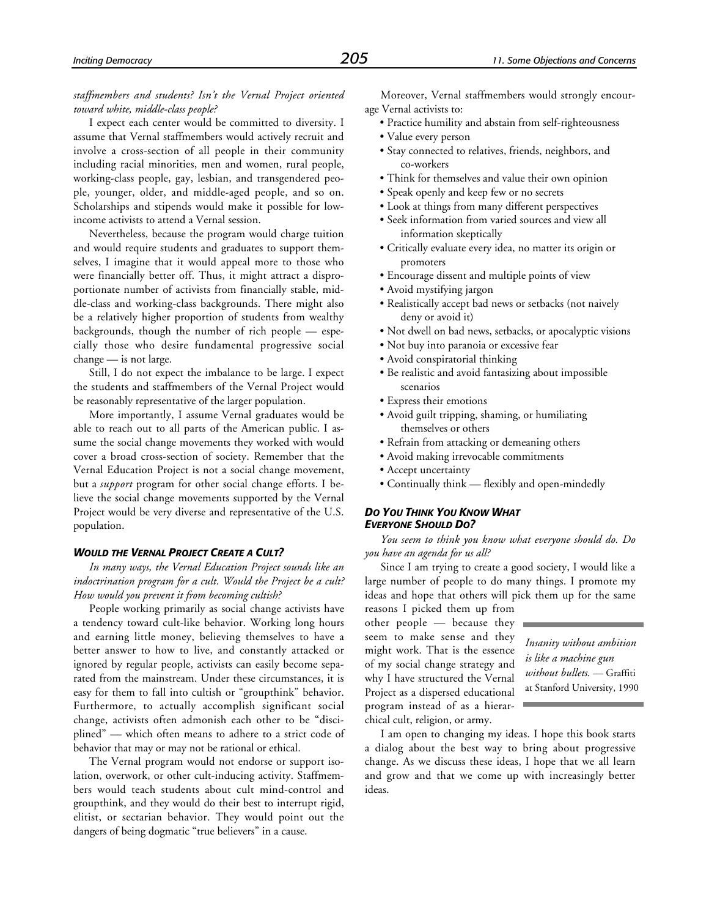*staffmembers and students? Isn't the Vernal Project oriented toward white, middle-class people?*

I expect each center would be committed to diversity. I assume that Vernal staffmembers would actively recruit and involve a cross-section of all people in their community including racial minorities, men and women, rural people, working-class people, gay, lesbian, and transgendered people, younger, older, and middle-aged people, and so on. Scholarships and stipends would make it possible for lowincome activists to attend a Vernal session.

Nevertheless, because the program would charge tuition and would require students and graduates to support themselves, I imagine that it would appeal more to those who were financially better off. Thus, it might attract a disproportionate number of activists from financially stable, middle-class and working-class backgrounds. There might also be a relatively higher proportion of students from wealthy backgrounds, though the number of rich people — especially those who desire fundamental progressive social change — is not large.

Still, I do not expect the imbalance to be large. I expect the students and staffmembers of the Vernal Project would be reasonably representative of the larger population.

More importantly, I assume Vernal graduates would be able to reach out to all parts of the American public. I assume the social change movements they worked with would cover a broad cross-section of society. Remember that the Vernal Education Project is not a social change movement, but a *support* program for other social change efforts. I believe the social change movements supported by the Vernal Project would be very diverse and representative of the U.S. population.

#### *WOULD THE VERNAL PROJECT CREATE A CULT?*

*In many ways, the Vernal Education Project sounds like an indoctrination program for a cult. Would the Project be a cult? How would you prevent it from becoming cultish?*

People working primarily as social change activists have a tendency toward cult-like behavior. Working long hours and earning little money, believing themselves to have a better answer to how to live, and constantly attacked or ignored by regular people, activists can easily become separated from the mainstream. Under these circumstances, it is easy for them to fall into cultish or "groupthink" behavior. Furthermore, to actually accomplish significant social change, activists often admonish each other to be "disciplined" — which often means to adhere to a strict code of behavior that may or may not be rational or ethical.

The Vernal program would not endorse or support isolation, overwork, or other cult-inducing activity. Staffmembers would teach students about cult mind-control and groupthink, and they would do their best to interrupt rigid, elitist, or sectarian behavior. They would point out the dangers of being dogmatic "true believers" in a cause.

Moreover, Vernal staffmembers would strongly encourage Vernal activists to:

- Practice humility and abstain from self-righteousness
- Value every person
- Stay connected to relatives, friends, neighbors, and co-workers
- Think for themselves and value their own opinion
- Speak openly and keep few or no secrets
- Look at things from many different perspectives
- Seek information from varied sources and view all information skeptically
- Critically evaluate every idea, no matter its origin or promoters
- Encourage dissent and multiple points of view
- Avoid mystifying jargon
- Realistically accept bad news or setbacks (not naively deny or avoid it)
- Not dwell on bad news, setbacks, or apocalyptic visions
- Not buy into paranoia or excessive fear
- Avoid conspiratorial thinking
- Be realistic and avoid fantasizing about impossible scenarios
- Express their emotions
- Avoid guilt tripping, shaming, or humiliating themselves or others
- Refrain from attacking or demeaning others
- Avoid making irrevocable commitments
- Accept uncertainty
- Continually think flexibly and open-mindedly

#### *DO YOU THINK YOU KNOW WHAT EVERYONE SHOULD DO?*

*You seem to think you know what everyone should do. Do you have an agenda for us all?*

Since I am trying to create a good society, I would like a large number of people to do many things. I promote my ideas and hope that others will pick them up for the same

reasons I picked them up from other people — because they seem to make sense and they might work. That is the essence of my social change strategy and why I have structured the Vernal Project as a dispersed educational program instead of as a hierarchical cult, religion, or army.

*Insanity without ambition is like a machine gun without bullets.* — Graffiti at Stanford University, 1990

I am open to changing my ideas. I hope this book starts a dialog about the best way to bring about progressive change. As we discuss these ideas, I hope that we all learn and grow and that we come up with increasingly better ideas.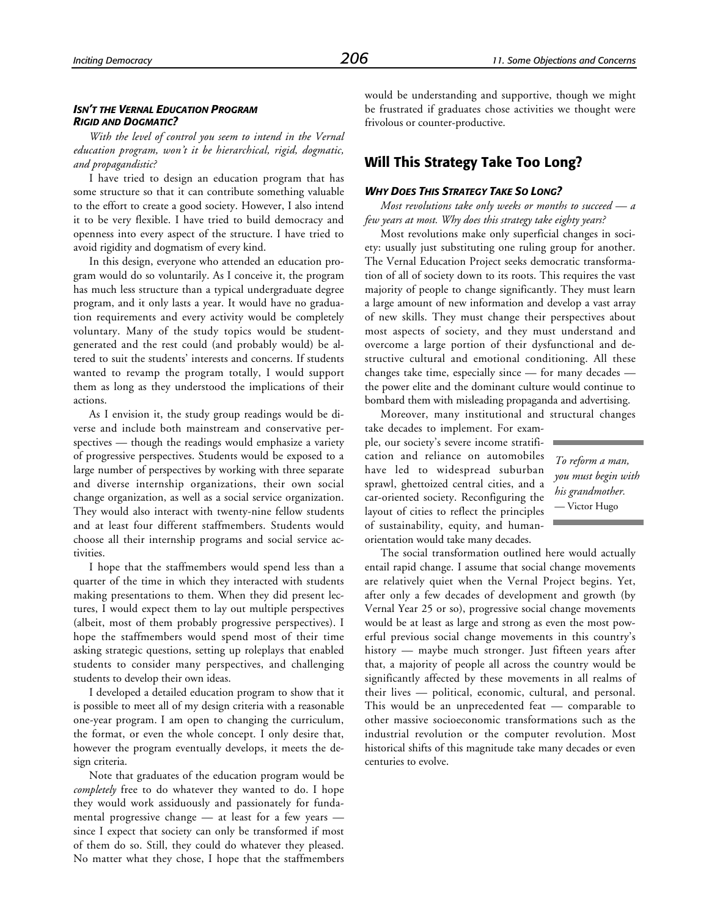#### *ISN'T THE VERNAL EDUCATION PROGRAM RIGID AND DOGMATIC?*

*With the level of control you seem to intend in the Vernal education program, won't it be hierarchical, rigid, dogmatic, and propagandistic?*

I have tried to design an education program that has some structure so that it can contribute something valuable to the effort to create a good society. However, I also intend it to be very flexible. I have tried to build democracy and openness into every aspect of the structure. I have tried to avoid rigidity and dogmatism of every kind.

In this design, everyone who attended an education program would do so voluntarily. As I conceive it, the program has much less structure than a typical undergraduate degree program, and it only lasts a year. It would have no graduation requirements and every activity would be completely voluntary. Many of the study topics would be studentgenerated and the rest could (and probably would) be altered to suit the students' interests and concerns. If students wanted to revamp the program totally, I would support them as long as they understood the implications of their actions.

As I envision it, the study group readings would be diverse and include both mainstream and conservative perspectives — though the readings would emphasize a variety of progressive perspectives. Students would be exposed to a large number of perspectives by working with three separate and diverse internship organizations, their own social change organization, as well as a social service organization. They would also interact with twenty-nine fellow students and at least four different staffmembers. Students would choose all their internship programs and social service activities.

I hope that the staffmembers would spend less than a quarter of the time in which they interacted with students making presentations to them. When they did present lectures, I would expect them to lay out multiple perspectives (albeit, most of them probably progressive perspectives). I hope the staffmembers would spend most of their time asking strategic questions, setting up roleplays that enabled students to consider many perspectives, and challenging students to develop their own ideas.

I developed a detailed education program to show that it is possible to meet all of my design criteria with a reasonable one-year program. I am open to changing the curriculum, the format, or even the whole concept. I only desire that, however the program eventually develops, it meets the design criteria.

Note that graduates of the education program would be *completely* free to do whatever they wanted to do. I hope they would work assiduously and passionately for fundamental progressive change — at least for a few years since I expect that society can only be transformed if most of them do so. Still, they could do whatever they pleased. No matter what they chose, I hope that the staffmembers would be understanding and supportive, though we might be frustrated if graduates chose activities we thought were frivolous or counter-productive.

# **Will This Strategy Take Too Long?**

#### *WHY DOES THIS STRATEGY TAKE SO LONG?*

*Most revolutions take only weeks or months to succeed — a few years at most. Why does this strategy take eighty years?*

Most revolutions make only superficial changes in society: usually just substituting one ruling group for another. The Vernal Education Project seeks democratic transformation of all of society down to its roots. This requires the vast majority of people to change significantly. They must learn a large amount of new information and develop a vast array of new skills. They must change their perspectives about most aspects of society, and they must understand and overcome a large portion of their dysfunctional and destructive cultural and emotional conditioning. All these changes take time, especially since — for many decades the power elite and the dominant culture would continue to bombard them with misleading propaganda and advertising.

Moreover, many institutional and structural changes

take decades to implement. For example, our society's severe income stratification and reliance on automobiles have led to widespread suburban sprawl, ghettoized central cities, and a car-oriented society. Reconfiguring the layout of cities to reflect the principles of sustainability, equity, and humanorientation would take many decades.

*To reform a man, you must begin with his grandmother.* — Victor Hugo

The social transformation outlined here would actually entail rapid change. I assume that social change movements are relatively quiet when the Vernal Project begins. Yet, after only a few decades of development and growth (by Vernal Year 25 or so), progressive social change movements would be at least as large and strong as even the most powerful previous social change movements in this country's history — maybe much stronger. Just fifteen years after that, a majority of people all across the country would be significantly affected by these movements in all realms of their lives — political, economic, cultural, and personal. This would be an unprecedented feat — comparable to other massive socioeconomic transformations such as the industrial revolution or the computer revolution. Most historical shifts of this magnitude take many decades or even centuries to evolve.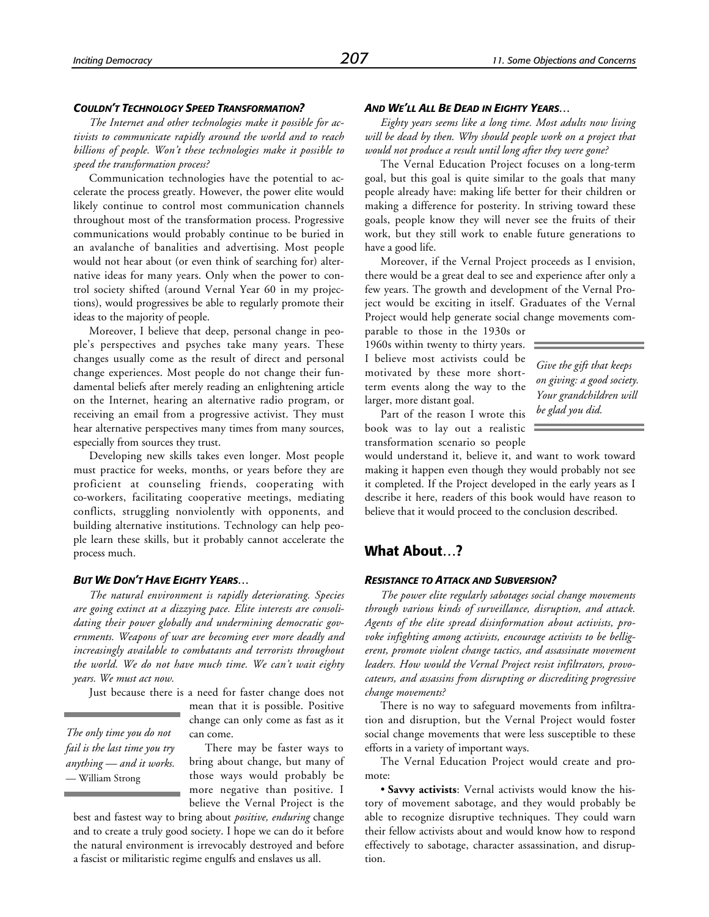#### *COULDN'T TECHNOLOGY SPEED TRANSFORMATION?*

*The Internet and other technologies make it possible for activists to communicate rapidly around the world and to reach billions of people. Won't these technologies make it possible to speed the transformation process?*

Communication technologies have the potential to accelerate the process greatly. However, the power elite would likely continue to control most communication channels throughout most of the transformation process. Progressive communications would probably continue to be buried in an avalanche of banalities and advertising. Most people would not hear about (or even think of searching for) alternative ideas for many years. Only when the power to control society shifted (around Vernal Year 60 in my projections), would progressives be able to regularly promote their ideas to the majority of people.

Moreover, I believe that deep, personal change in people's perspectives and psyches take many years. These changes usually come as the result of direct and personal change experiences. Most people do not change their fundamental beliefs after merely reading an enlightening article on the Internet, hearing an alternative radio program, or receiving an email from a progressive activist. They must hear alternative perspectives many times from many sources, especially from sources they trust.

Developing new skills takes even longer. Most people must practice for weeks, months, or years before they are proficient at counseling friends, cooperating with co-workers, facilitating cooperative meetings, mediating conflicts, struggling nonviolently with opponents, and building alternative institutions. Technology can help people learn these skills, but it probably cannot accelerate the process much.

#### *BUT WE DON'T HAVE EIGHTY YEARS…*

*The natural environment is rapidly deteriorating. Species are going extinct at a dizzying pace. Elite interests are consolidating their power globally and undermining democratic governments. Weapons of war are becoming ever more deadly and increasingly available to combatants and terrorists throughout the world. We do not have much time. We can't wait eighty years. We must act now.*

Just because there is a need for faster change does not

*The only time you do not fail is the last time you try anything — and it works.* — William Strong

mean that it is possible. Positive change can only come as fast as it can come.

There may be faster ways to bring about change, but many of those ways would probably be more negative than positive. I believe the Vernal Project is the

best and fastest way to bring about *positive, enduring* change and to create a truly good society. I hope we can do it before the natural environment is irrevocably destroyed and before a fascist or militaristic regime engulfs and enslaves us all.

#### *AND WE'LL ALL BE DEAD IN EIGHTY YEARS…*

*Eighty years seems like a long time. Most adults now living will be dead by then. Why should people work on a project that would not produce a result until long after they were gone?*

The Vernal Education Project focuses on a long-term goal, but this goal is quite similar to the goals that many people already have: making life better for their children or making a difference for posterity. In striving toward these goals, people know they will never see the fruits of their work, but they still work to enable future generations to have a good life.

Moreover, if the Vernal Project proceeds as I envision, there would be a great deal to see and experience after only a few years. The growth and development of the Vernal Project would be exciting in itself. Graduates of the Vernal Project would help generate social change movements com-

parable to those in the 1930s or 1960s within twenty to thirty years. I believe most activists could be motivated by these more shortterm events along the way to the larger, more distant goal.

*Give the gift that keeps on giving: a good society. Your grandchildren will be glad you did.*

Part of the reason I wrote this book was to lay out a realistic transformation scenario so people

would understand it, believe it, and want to work toward making it happen even though they would probably not see it completed. If the Project developed in the early years as I describe it here, readers of this book would have reason to believe that it would proceed to the conclusion described.

# **What About…?**

#### *RESISTANCE TO ATTACK AND SUBVERSION?*

*The power elite regularly sabotages social change movements through various kinds of surveillance, disruption, and attack. Agents of the elite spread disinformation about activists, provoke infighting among activists, encourage activists to be belligerent, promote violent change tactics, and assassinate movement leaders. How would the Vernal Project resist infiltrators, provocateurs, and assassins from disrupting or discrediting progressive change movements?*

There is no way to safeguard movements from infiltration and disruption, but the Vernal Project would foster social change movements that were less susceptible to these efforts in a variety of important ways.

The Vernal Education Project would create and promote:

• **Savvy activists**: Vernal activists would know the history of movement sabotage, and they would probably be able to recognize disruptive techniques. They could warn their fellow activists about and would know how to respond effectively to sabotage, character assassination, and disruption.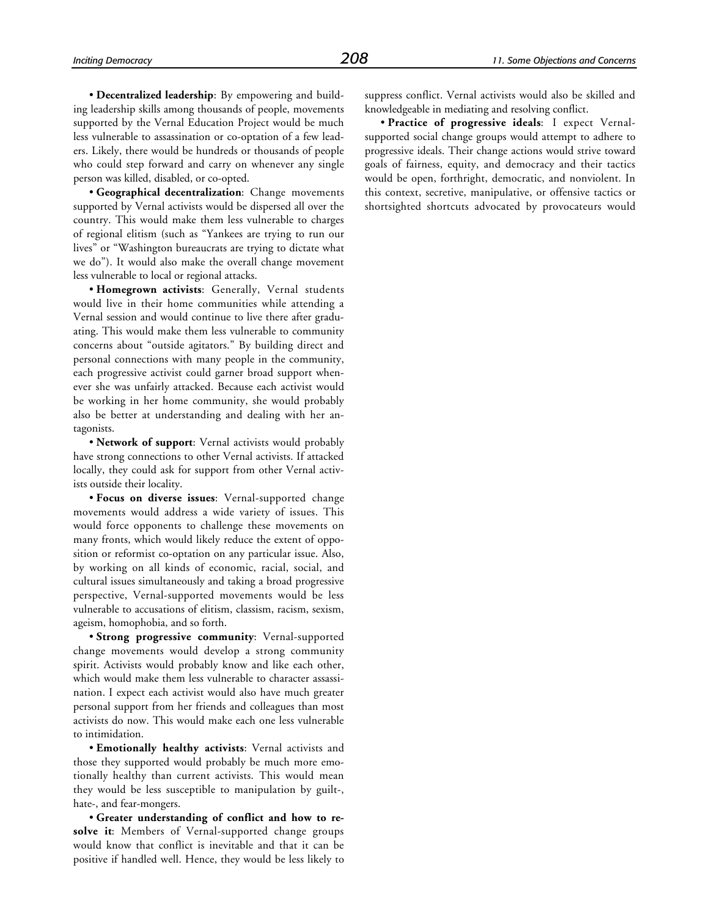• **Decentralized leadership**: By empowering and building leadership skills among thousands of people, movements supported by the Vernal Education Project would be much less vulnerable to assassination or co-optation of a few leaders. Likely, there would be hundreds or thousands of people who could step forward and carry on whenever any single person was killed, disabled, or co-opted.

• **Geographical decentralization**: Change movements supported by Vernal activists would be dispersed all over the country. This would make them less vulnerable to charges of regional elitism (such as "Yankees are trying to run our lives" or "Washington bureaucrats are trying to dictate what we do"). It would also make the overall change movement less vulnerable to local or regional attacks.

• **Homegrown activists**: Generally, Vernal students would live in their home communities while attending a Vernal session and would continue to live there after graduating. This would make them less vulnerable to community concerns about "outside agitators." By building direct and personal connections with many people in the community, each progressive activist could garner broad support whenever she was unfairly attacked. Because each activist would be working in her home community, she would probably also be better at understanding and dealing with her antagonists.

• **Network of support**: Vernal activists would probably have strong connections to other Vernal activists. If attacked locally, they could ask for support from other Vernal activists outside their locality.

• **Focus on diverse issues**: Vernal-supported change movements would address a wide variety of issues. This would force opponents to challenge these movements on many fronts, which would likely reduce the extent of opposition or reformist co-optation on any particular issue. Also, by working on all kinds of economic, racial, social, and cultural issues simultaneously and taking a broad progressive perspective, Vernal-supported movements would be less vulnerable to accusations of elitism, classism, racism, sexism, ageism, homophobia, and so forth.

• **Strong progressive community**: Vernal-supported change movements would develop a strong community spirit. Activists would probably know and like each other, which would make them less vulnerable to character assassination. I expect each activist would also have much greater personal support from her friends and colleagues than most activists do now. This would make each one less vulnerable to intimidation.

• **Emotionally healthy activists**: Vernal activists and those they supported would probably be much more emotionally healthy than current activists. This would mean they would be less susceptible to manipulation by guilt-, hate-, and fear-mongers.

• **Greater understanding of conflict and how to resolve it**: Members of Vernal-supported change groups would know that conflict is inevitable and that it can be positive if handled well. Hence, they would be less likely to suppress conflict. Vernal activists would also be skilled and knowledgeable in mediating and resolving conflict.

• **Practice of progressive ideals**: I expect Vernalsupported social change groups would attempt to adhere to progressive ideals. Their change actions would strive toward goals of fairness, equity, and democracy and their tactics would be open, forthright, democratic, and nonviolent. In this context, secretive, manipulative, or offensive tactics or shortsighted shortcuts advocated by provocateurs would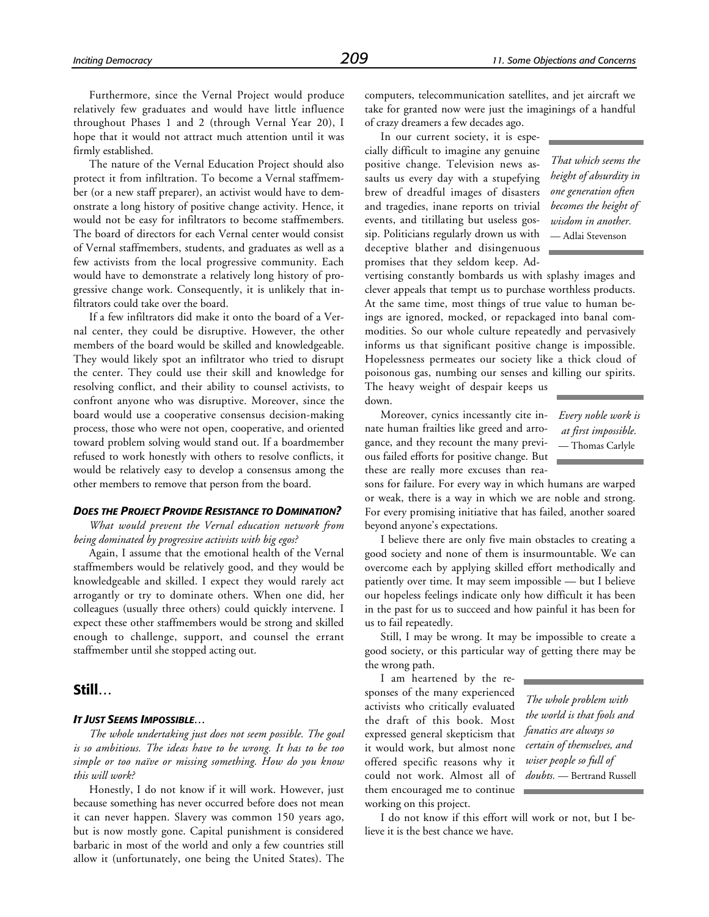Furthermore, since the Vernal Project would produce relatively few graduates and would have little influence throughout Phases 1 and 2 (through Vernal Year 20), I hope that it would not attract much attention until it was firmly established.

The nature of the Vernal Education Project should also protect it from infiltration. To become a Vernal staffmember (or a new staff preparer), an activist would have to demonstrate a long history of positive change activity. Hence, it would not be easy for infiltrators to become staffmembers. The board of directors for each Vernal center would consist of Vernal staffmembers, students, and graduates as well as a few activists from the local progressive community. Each would have to demonstrate a relatively long history of progressive change work. Consequently, it is unlikely that infiltrators could take over the board.

If a few infiltrators did make it onto the board of a Vernal center, they could be disruptive. However, the other members of the board would be skilled and knowledgeable. They would likely spot an infiltrator who tried to disrupt the center. They could use their skill and knowledge for resolving conflict, and their ability to counsel activists, to confront anyone who was disruptive. Moreover, since the board would use a cooperative consensus decision-making process, those who were not open, cooperative, and oriented toward problem solving would stand out. If a boardmember refused to work honestly with others to resolve conflicts, it would be relatively easy to develop a consensus among the other members to remove that person from the board.

# *DOES THE PROJECT PROVIDE RESISTANCE TO DOMINATION?*

*What would prevent the Vernal education network from being dominated by progressive activists with big egos?*

Again, I assume that the emotional health of the Vernal staffmembers would be relatively good, and they would be knowledgeable and skilled. I expect they would rarely act arrogantly or try to dominate others. When one did, her colleagues (usually three others) could quickly intervene. I expect these other staffmembers would be strong and skilled enough to challenge, support, and counsel the errant staffmember until she stopped acting out.

# **Still…**

## *IT JUST SEEMS IMPOSSIBLE…*

*The whole undertaking just does not seem possible. The goal is so ambitious. The ideas have to be wrong. It has to be too simple or too naïve or missing something. How do you know this will work?*

Honestly, I do not know if it will work. However, just because something has never occurred before does not mean it can never happen. Slavery was common 150 years ago, but is now mostly gone. Capital punishment is considered barbaric in most of the world and only a few countries still allow it (unfortunately, one being the United States). The computers, telecommunication satellites, and jet aircraft we take for granted now were just the imaginings of a handful of crazy dreamers a few decades ago.

In our current society, it is especially difficult to imagine any genuine positive change. Television news assaults us every day with a stupefying brew of dreadful images of disasters and tragedies, inane reports on trivial events, and titillating but useless gossip. Politicians regularly drown us with deceptive blather and disingenuous promises that they seldom keep. Ad-

*That which seems the height of absurdity in one generation often becomes the height of wisdom in another.* — Adlai Stevenson

vertising constantly bombards us with splashy images and clever appeals that tempt us to purchase worthless products. At the same time, most things of true value to human beings are ignored, mocked, or repackaged into banal commodities. So our whole culture repeatedly and pervasively informs us that significant positive change is impossible. Hopelessness permeates our society like a thick cloud of poisonous gas, numbing our senses and killing our spirits. The heavy weight of despair keeps us

down.

Moreover, cynics incessantly cite innate human frailties like greed and arrogance, and they recount the many previous failed efforts for positive change. But these are really more excuses than rea-

sons for failure. For every way in which humans are warped or weak, there is a way in which we are noble and strong. For every promising initiative that has failed, another soared beyond anyone's expectations.

I believe there are only five main obstacles to creating a good society and none of them is insurmountable. We can overcome each by applying skilled effort methodically and patiently over time. It may seem impossible — but I believe our hopeless feelings indicate only how difficult it has been in the past for us to succeed and how painful it has been for us to fail repeatedly.

Still, I may be wrong. It may be impossible to create a good society, or this particular way of getting there may be the wrong path.

I am heartened by the responses of the many experienced activists who critically evaluated the draft of this book. Most expressed general skepticism that it would work, but almost none offered specific reasons why it could not work. Almost all of them encouraged me to continue working on this project.

*The whole problem with the world is that fools and fanatics are always so certain of themselves, and wiser people so full of doubts.* — Bertrand Russell

I do not know if this effort will work or not, but I believe it is the best chance we have.

*Every noble work is at first impossible.* — Thomas Carlyle